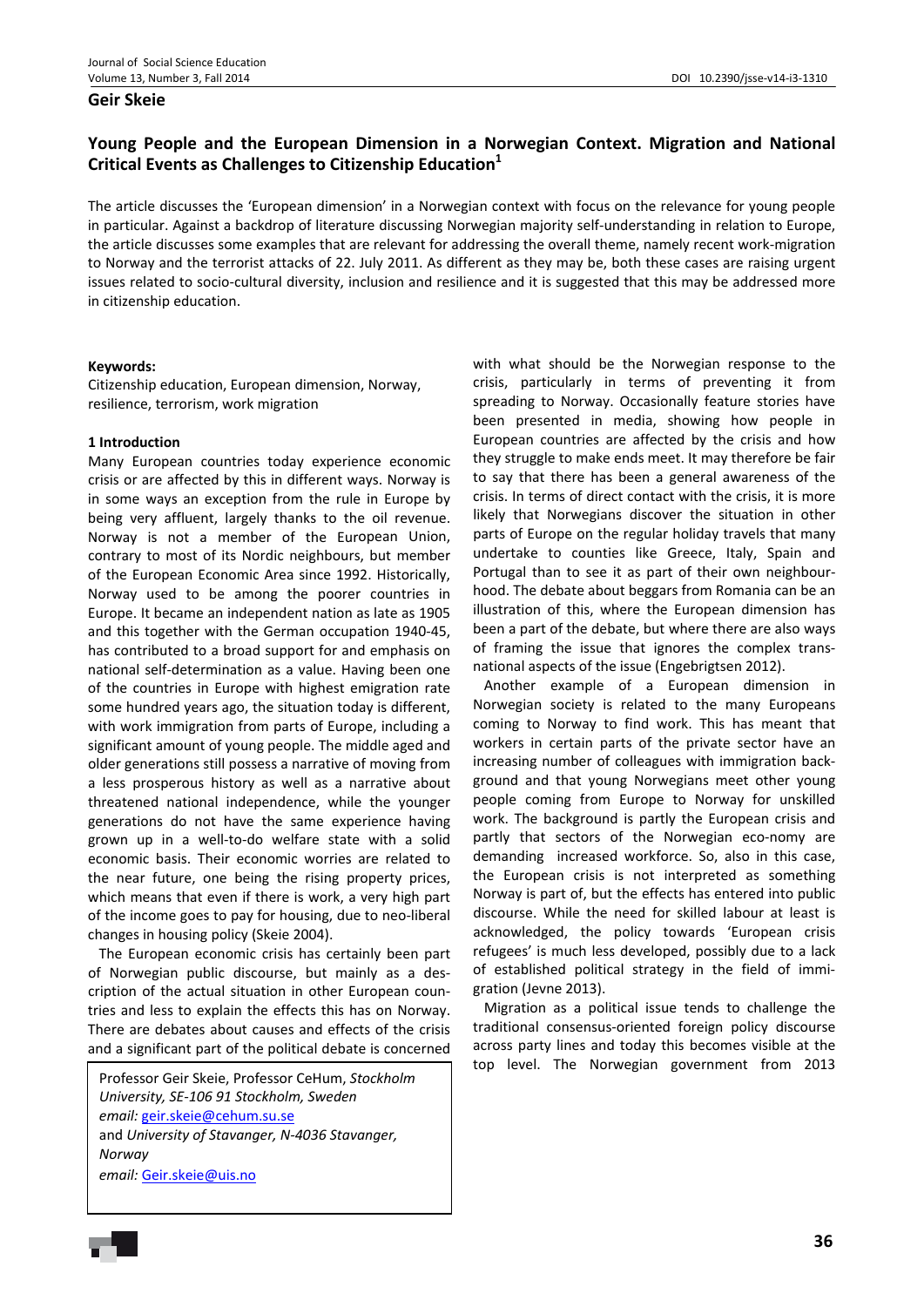#### **Geir Skeie**

# **Young People and the European Dimension in a Norwegian Context. Migration and National Critical Events as Challenges to Citizenship Education<sup>1</sup>**

The article discusses the 'European dimension' in a Norwegian context with focus on the relevance for young people in particular. Against a backdrop of literature discussing Norwegian majority self-understanding in relation to Europe, the article discusses some examples that are relevant for addressing the overall theme, namely recent work‐migration to Norway and the terrorist attacks of 22. July 2011. As different as they may be, both these cases are raising urgent issues related to socio‐cultural diversity, inclusion and resilience and it is suggested that this may be addressed more in citizenship education.

#### **Keywords:**

Citizenship education, European dimension, Norway, resilience, terrorism, work migration

#### **1 Introduction**

Many European countries today experience economic crisis or are affected by this in different ways. Norway is in some ways an exception from the rule in Europe by being very affluent, largely thanks to the oil revenue. Norway is not a member of the European Union, contrary to most of its Nordic neighbours, but member of the European Economic Area since 1992. Historically, Norway used to be among the poorer countries in Europe. It became an independent nation as late as 1905 and this together with the German occupation 1940‐45, has contributed to a broad support for and emphasis on national self‐determination as a value. Having been one of the countries in Europe with highest emigration rate some hundred years ago, the situation today is different, with work immigration from parts of Europe, including a significant amount of young people. The middle aged and older generations still possess a narrative of moving from a less prosperous history as well as a narrative about threatened national independence, while the younger generations do not have the same experience having grown up in a well‐to‐do welfare state with a solid economic basis. Their economic worries are related to the near future, one being the rising property prices, which means that even if there is work, a very high part of the income goes to pay for housing, due to neo‐liberal changes in housing policy (Skeie 2004).

The European economic crisis has certainly been part of Norwegian public discourse, but mainly as a des‐ cription of the actual situation in other European coun‐ tries and less to explain the effects this has on Norway. There are debates about causes and effects of the crisis and a significant part of the political debate is concerned

Professor Geir Skeie, Professor CeHum, *Stockholm University, SE‐106 91 Stockholm, Sweden email:* geir.skeie@cehum.su.se and *University of Stavanger, N‐4036 Stavanger, Norway email:* Geir.skeie@uis.no

with what should be the Norwegian response to the crisis, particularly in terms of preventing it from spreading to Norway. Occasionally feature stories have been presented in media, showing how people in European countries are affected by the crisis and how they struggle to make ends meet. It may therefore be fair to say that there has been a general awareness of the crisis. In terms of direct contact with the crisis, it is more likely that Norwegians discover the situation in other parts of Europe on the regular holiday travels that many undertake to counties like Greece, Italy, Spain and Portugal than to see it as part of their own neighbour‐ hood. The debate about beggars from Romania can be an illustration of this, where the European dimension has been a part of the debate, but where there are also ways of framing the issue that ignores the complex trans‐ national aspects of the issue (Engebrigtsen 2012).

Another example of a European dimension in Norwegian society is related to the many Europeans coming to Norway to find work. This has meant that workers in certain parts of the private sector have an increasing number of colleagues with immigration back‐ ground and that young Norwegians meet other young people coming from Europe to Norway for unskilled work. The background is partly the European crisis and partly that sectors of the Norwegian eco-nomy are demanding increased workforce. So, also in this case, the European crisis is not interpreted as something Norway is part of, but the effects has entered into public discourse. While the need for skilled labour at least is acknowledged, the policy towards 'European crisis refugees' is much less developed, possibly due to a lack of established political strategy in the field of immi‐ gration (Jevne 2013).

Migration as a political issue tends to challenge the traditional consensus‐oriented foreign policy discourse across party lines and today this becomes visible at the top level. The Norwegian government from 2013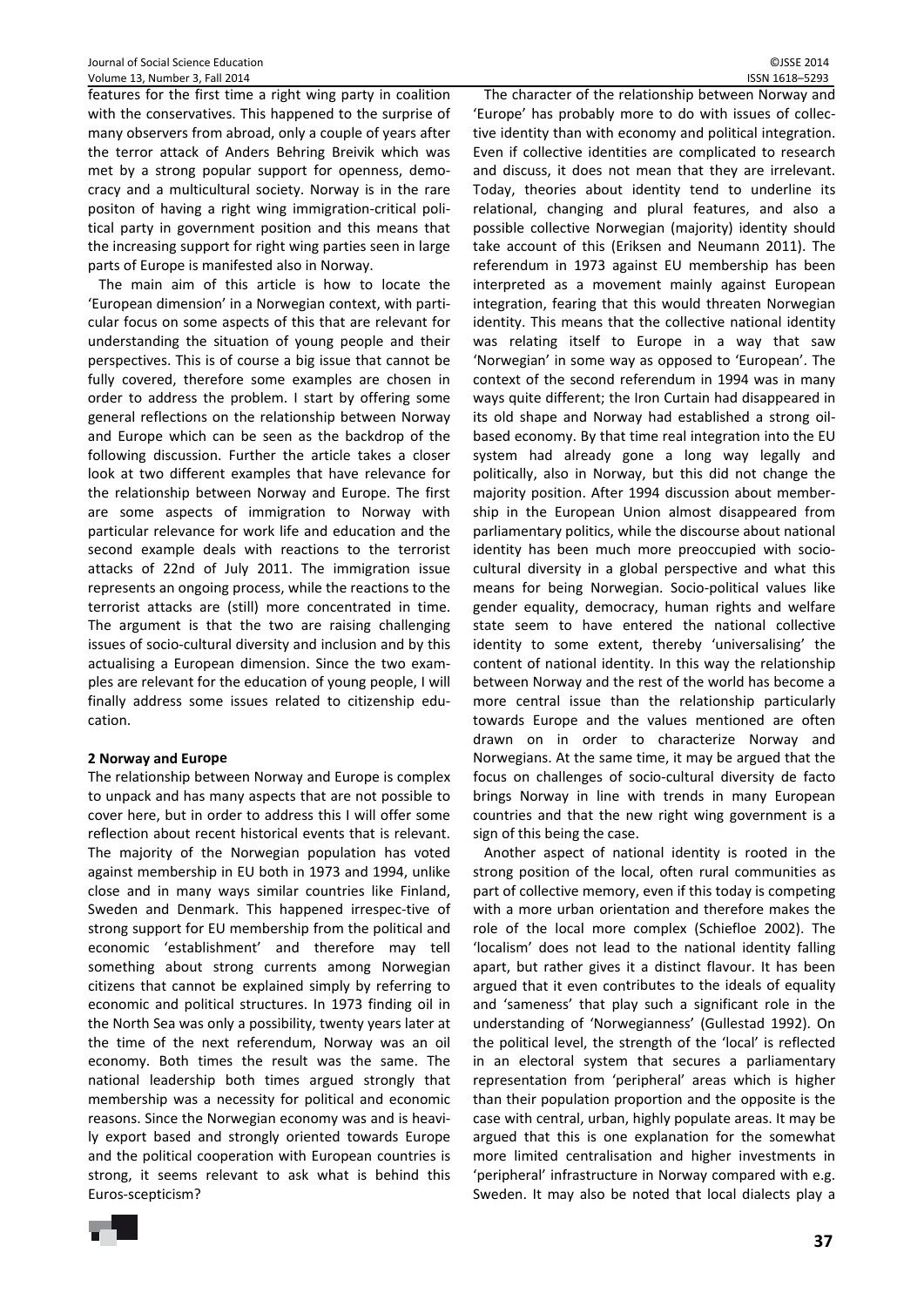features for the first time a right wing party in coalition with the conservatives. This happened to the surprise of many observers from abroad, only a couple of years after the terror attack of Anders Behring Breivik which was met by a strong popular support for openness, demo‐ cracy and a multicultural society. Norway is in the rare positon of having a right wing immigration‐critical poli‐ tical party in government position and this means that the increasing support for right wing parties seen in large parts of Europe is manifested also in Norway.

The main aim of this article is how to locate the 'European dimension' in a Norwegian context, with parti‐ cular focus on some aspects of this that are relevant for understanding the situation of young people and their perspectives. This is of course a big issue that cannot be fully covered, therefore some examples are chosen in order to address the problem. I start by offering some general reflections on the relationship between Norway and Europe which can be seen as the backdrop of the following discussion. Further the article takes a closer look at two different examples that have relevance for the relationship between Norway and Europe. The first are some aspects of immigration to Norway with particular relevance for work life and education and the second example deals with reactions to the terrorist attacks of 22nd of July 2011. The immigration issue represents an ongoing process, while the reactions to the terrorist attacks are (still) more concentrated in time. The argument is that the two are raising challenging issues of socio‐cultural diversity and inclusion and by this actualising a European dimension. Since the two exam‐ ples are relevant for the education of young people, I will finally address some issues related to citizenship edu‐ cation.

# **2 Norway and Europe**

The relationship between Norway and Europe is complex to unpack and has many aspects that are not possible to cover here, but in order to address this I will offer some reflection about recent historical events that is relevant. The majority of the Norwegian population has voted against membership in EU both in 1973 and 1994, unlike close and in many ways similar countries like Finland, Sweden and Denmark. This happened irrespec-tive of strong support for EU membership from the political and economic 'establishment' and therefore may tell something about strong currents among Norwegian citizens that cannot be explained simply by referring to economic and political structures. In 1973 finding oil in the North Sea was only a possibility, twenty years later at the time of the next referendum, Norway was an oil economy. Both times the result was the same. The national leadership both times argued strongly that membership was a necessity for political and economic reasons. Since the Norwegian economy was and is heavi‐ ly export based and strongly oriented towards Europe and the political cooperation with European countries is strong, it seems relevant to ask what is behind this Euros‐scepticism?

The character of the relationship between Norway and 'Europe' has probably more to do with issues of collec‐ tive identity than with economy and political integration. Even if collective identities are complicated to research and discuss, it does not mean that they are irrelevant. Today, theories about identity tend to underline its relational, changing and plural features, and also a possible collective Norwegian (majority) identity should take account of this (Eriksen and Neumann 2011). The referendum in 1973 against EU membership has been interpreted as a movement mainly against European integration, fearing that this would threaten Norwegian identity. This means that the collective national identity was relating itself to Europe in a way that saw 'Norwegian' in some way as opposed to 'European'. The context of the second referendum in 1994 was in many ways quite different; the Iron Curtain had disappeared in its old shape and Norway had established a strong oil‐ based economy. By that time real integration into the EU system had already gone a long way legally and politically, also in Norway, but this did not change the majority position. After 1994 discussion about member‐ ship in the European Union almost disappeared from parliamentary politics, while the discourse about national identity has been much more preoccupied with socio‐ cultural diversity in a global perspective and what this means for being Norwegian. Socio‐political values like gender equality, democracy, human rights and welfare state seem to have entered the national collective identity to some extent, thereby 'universalising' the content of national identity. In this way the relationship between Norway and the rest of the world has become a more central issue than the relationship particularly towards Europe and the values mentioned are often drawn on in order to characterize Norway and Norwegians. At the same time, it may be argued that the focus on challenges of socio‐cultural diversity de facto brings Norway in line with trends in many European countries and that the new right wing government is a sign of this being the case.

Another aspect of national identity is rooted in the strong position of the local, often rural communities as part of collective memory, even if this today is competing with a more urban orientation and therefore makes the role of the local more complex (Schiefloe 2002). The 'localism' does not lead to the national identity falling apart, but rather gives it a distinct flavour. It has been argued that it even contributes to the ideals of equality and 'sameness' that play such a significant role in the understanding of 'Norwegianness' (Gullestad 1992). On the political level, the strength of the 'local' is reflected in an electoral system that secures a parliamentary representation from 'peripheral' areas which is higher than their population proportion and the opposite is the case with central, urban, highly populate areas. It may be argued that this is one explanation for the somewhat more limited centralisation and higher investments in 'peripheral' infrastructure in Norway compared with e.g. Sweden. It may also be noted that local dialects play a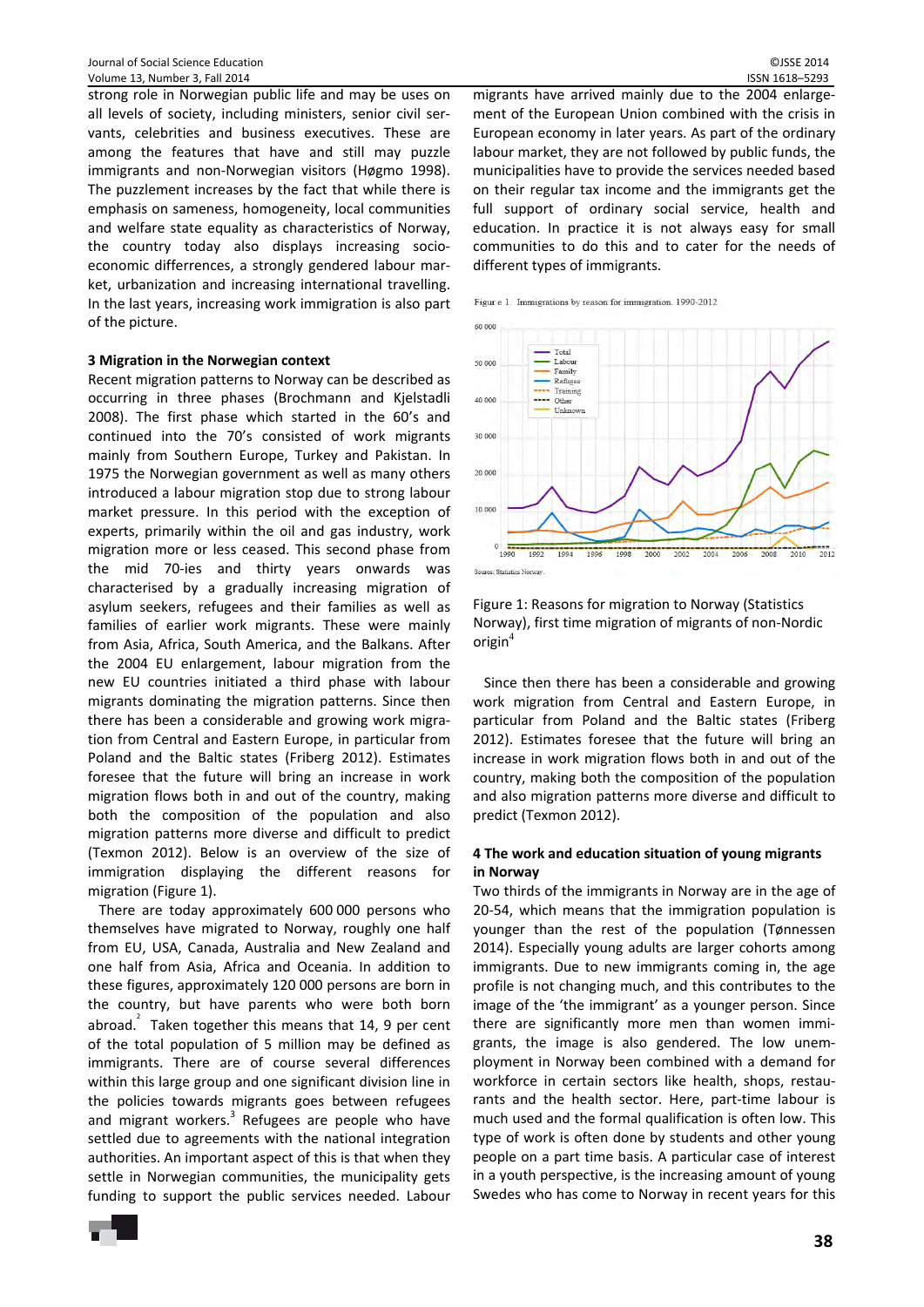strong role in Norwegian public life and may be uses on all levels of society, including ministers, senior civil servants, celebrities and business executives. These are among the features that have and still may puzzle immigrants and non‐Norwegian visitors (Høgmo 1998). The puzzlement increases by the fact that while there is emphasis on sameness, homogeneity, local communities and welfare state equality as characteristics of Norway, the country today also displays increasing socio‐ economic differrences, a strongly gendered labour mar‐ ket, urbanization and increasing international travelling. In the last years, increasing work immigration is also part of the picture.

#### **3 Migration in the Norwegian context**

Recent migration patterns to Norway can be described as occurring in three phases (Brochmann and Kjelstadli 2008). The first phase which started in the 60's and continued into the 70's consisted of work migrants mainly from Southern Europe, Turkey and Pakistan. In 1975 the Norwegian government as well as many others introduced a labour migration stop due to strong labour market pressure. In this period with the exception of experts, primarily within the oil and gas industry, work migration more or less ceased. This second phase from the mid 70‐ies and thirty years onwards was characterised by a gradually increasing migration of asylum seekers, refugees and their families as well as families of earlier work migrants. These were mainly from Asia, Africa, South America, and the Balkans. After the 2004 EU enlargement, labour migration from the new EU countries initiated a third phase with labour migrants dominating the migration patterns. Since then there has been a considerable and growing work migra‐ tion from Central and Eastern Europe, in particular from Poland and the Baltic states (Friberg 2012). Estimates foresee that the future will bring an increase in work migration flows both in and out of the country, making both the composition of the population and also migration patterns more diverse and difficult to predict (Texmon 2012). Below is an overview of the size of immigration displaying the different reasons for migration (Figure 1).

There are today approximately 600 000 persons who themselves have migrated to Norway, roughly one half from EU, USA, Canada, Australia and New Zealand and one half from Asia, Africa and Oceania. In addition to these figures, approximately 120 000 persons are born in the country, but have parents who were both born abroad.  $^{2}$  Taken together this means that 14, 9 per cent of the total population of 5 million may be defined as immigrants. There are of course several differences within this large group and one significant division line in the policies towards migrants goes between refugees and migrant workers. $3$  Refugees are people who have settled due to agreements with the national integration authorities. An important aspect of this is that when they settle in Norwegian communities, the municipality gets funding to support the public services needed. Labour

migrants have arrived mainly due to the 2004 enlarge‐ ment of the European Union combined with the crisis in European economy in later years. As part of the ordinary labour market, they are not followed by public funds, the municipalities have to provide the services needed based on their regular tax income and the immigrants get the full support of ordinary social service, health and education. In practice it is not always easy for small communities to do this and to cater for the needs of different types of immigrants.

Figur e 1. Immigrations by reason for immigration. 1990-2012



Figure 1: Reasons for migration to Norway (Statistics Norway), first time migration of migrants of non‐Nordic origin $4$ 

Since then there has been a considerable and growing work migration from Central and Eastern Europe, in particular from Poland and the Baltic states (Friberg 2012). Estimates foresee that the future will bring an increase in work migration flows both in and out of the country, making both the composition of the population and also migration patterns more diverse and difficult to predict (Texmon 2012).

# **4 The work and education situation of young migrants in Norway**

Two thirds of the immigrants in Norway are in the age of 20‐54, which means that the immigration population is younger than the rest of the population (Tønnessen 2014). Especially young adults are larger cohorts among immigrants. Due to new immigrants coming in, the age profile is not changing much, and this contributes to the image of the 'the immigrant' as a younger person. Since there are significantly more men than women immi‐ grants, the image is also gendered. The low unem‐ ployment in Norway been combined with a demand for workforce in certain sectors like health, shops, restaurants and the health sector. Here, part-time labour is much used and the formal qualification is often low. This type of work is often done by students and other young people on a part time basis. A particular case of interest in a youth perspective, is the increasing amount of young Swedes who has come to Norway in recent years for this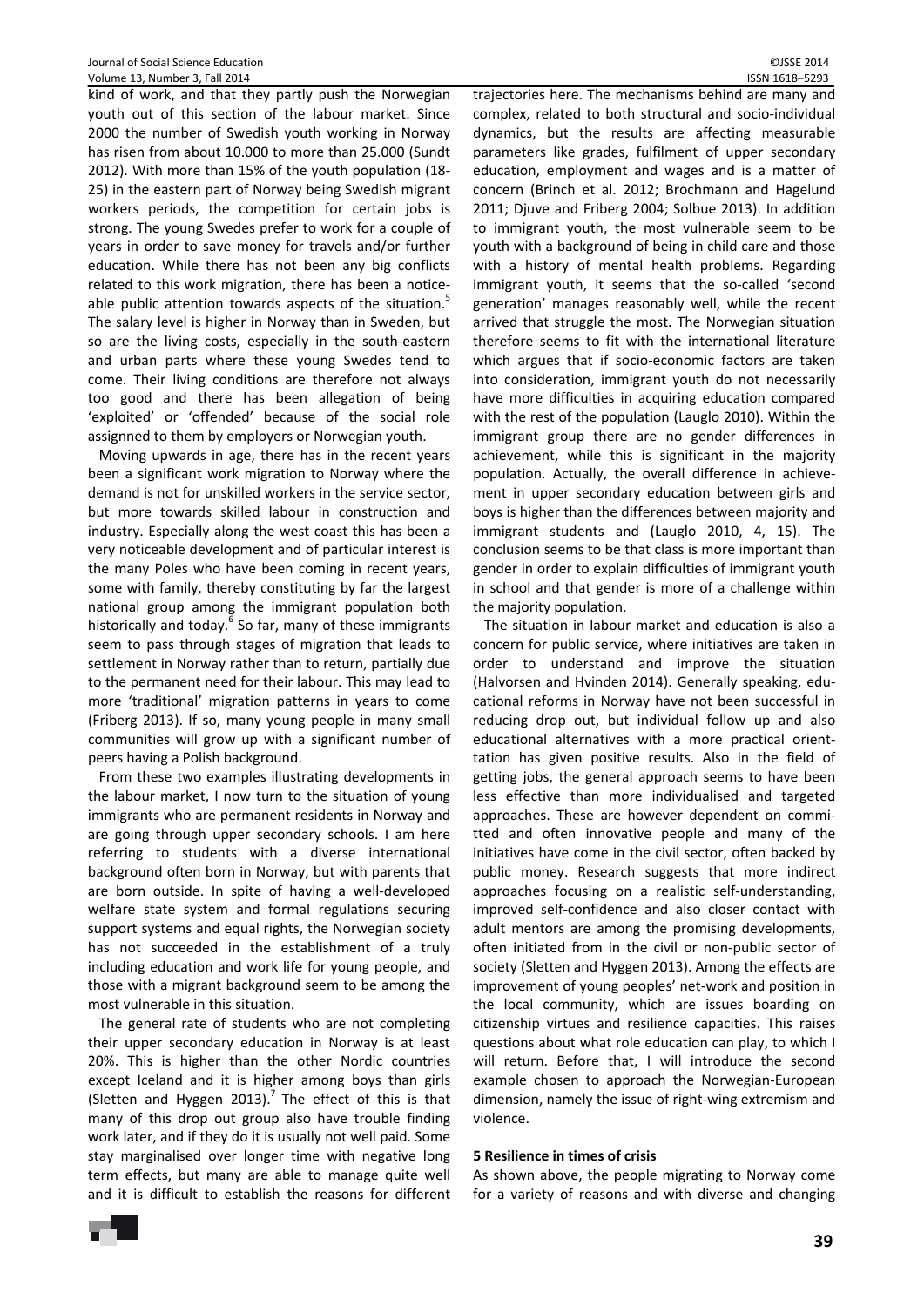kind of work, and that they partly push the Norwegian youth out of this section of the labour market. Since 2000 the number of Swedish youth working in Norway has risen from about 10.000 to more than 25.000 (Sundt 2012). With more than 15% of the youth population (18‐ 25) in the eastern part of Norway being Swedish migrant workers periods, the competition for certain jobs is strong. The young Swedes prefer to work for a couple of years in order to save money for travels and/or further education. While there has not been any big conflicts related to this work migration, there has been a noticeable public attention towards aspects of the situation.<sup>5</sup> The salary level is higher in Norway than in Sweden, but so are the living costs, especially in the south‐eastern and urban parts where these young Swedes tend to come. Their living conditions are therefore not always too good and there has been allegation of being 'exploited' or 'offended' because of the social role assignned to them by employers or Norwegian youth.

Moving upwards in age, there has in the recent years been a significant work migration to Norway where the demand is not for unskilled workers in the service sector, but more towards skilled labour in construction and industry. Especially along the west coast this has been a very noticeable development and of particular interest is the many Poles who have been coming in recent years, some with family, thereby constituting by far the largest national group among the immigrant population both historically and today.<sup>6</sup> So far, many of these immigrants seem to pass through stages of migration that leads to settlement in Norway rather than to return, partially due to the permanent need for their labour. This may lead to more 'traditional' migration patterns in years to come (Friberg 2013). If so, many young people in many small communities will grow up with a significant number of peers having a Polish background.

From these two examples illustrating developments in the labour market, I now turn to the situation of young immigrants who are permanent residents in Norway and are going through upper secondary schools. I am here referring to students with a diverse international background often born in Norway, but with parents that are born outside. In spite of having a well-developed welfare state system and formal regulations securing support systems and equal rights, the Norwegian society has not succeeded in the establishment of a truly including education and work life for young people, and those with a migrant background seem to be among the most vulnerable in this situation.

The general rate of students who are not completing their upper secondary education in Norway is at least 20%. This is higher than the other Nordic countries except Iceland and it is higher among boys than girls (Sletten and Hyggen 2013).<sup>7</sup> The effect of this is that many of this drop out group also have trouble finding work later, and if they do it is usually not well paid. Some stay marginalised over longer time with negative long term effects, but many are able to manage quite well and it is difficult to establish the reasons for different

trajectories here. The mechanisms behind are many and complex, related to both structural and socio‐individual dynamics, but the results are affecting measurable parameters like grades, fulfilment of upper secondary education, employment and wages and is a matter of concern (Brinch et al. 2012; Brochmann and Hagelund 2011; Djuve and Friberg 2004; Solbue 2013). In addition to immigrant youth, the most vulnerable seem to be youth with a background of being in child care and those with a history of mental health problems. Regarding immigrant youth, it seems that the so-called 'second generation' manages reasonably well, while the recent arrived that struggle the most. The Norwegian situation therefore seems to fit with the international literature which argues that if socio-economic factors are taken into consideration, immigrant youth do not necessarily have more difficulties in acquiring education compared with the rest of the population (Lauglo 2010). Within the immigrant group there are no gender differences in achievement, while this is significant in the majority population. Actually, the overall difference in achievement in upper secondary education between girls and boys is higher than the differences between majority and immigrant students and (Lauglo 2010, 4, 15). The conclusion seems to be that class is more important than gender in order to explain difficulties of immigrant youth in school and that gender is more of a challenge within the majority population.

The situation in labour market and education is also a concern for public service, where initiatives are taken in order to understand and improve the situation (Halvorsen and Hvinden 2014). Generally speaking, edu‐ cational reforms in Norway have not been successful in reducing drop out, but individual follow up and also educational alternatives with a more practical orient‐ tation has given positive results. Also in the field of getting jobs, the general approach seems to have been less effective than more individualised and targeted approaches. These are however dependent on committed and often innovative people and many of the initiatives have come in the civil sector, often backed by public money. Research suggests that more indirect approaches focusing on a realistic self‐understanding, improved self‐confidence and also closer contact with adult mentors are among the promising developments, often initiated from in the civil or non‐public sector of society (Sletten and Hyggen 2013). Among the effects are improvement of young peoples' net‐work and position in the local community, which are issues boarding on citizenship virtues and resilience capacities. This raises questions about what role education can play, to which I will return. Before that, I will introduce the second example chosen to approach the Norwegian‐European dimension, namely the issue of right‐wing extremism and violence.

# **5 Resilience in times of crisis**

As shown above, the people migrating to Norway come for a variety of reasons and with diverse and changing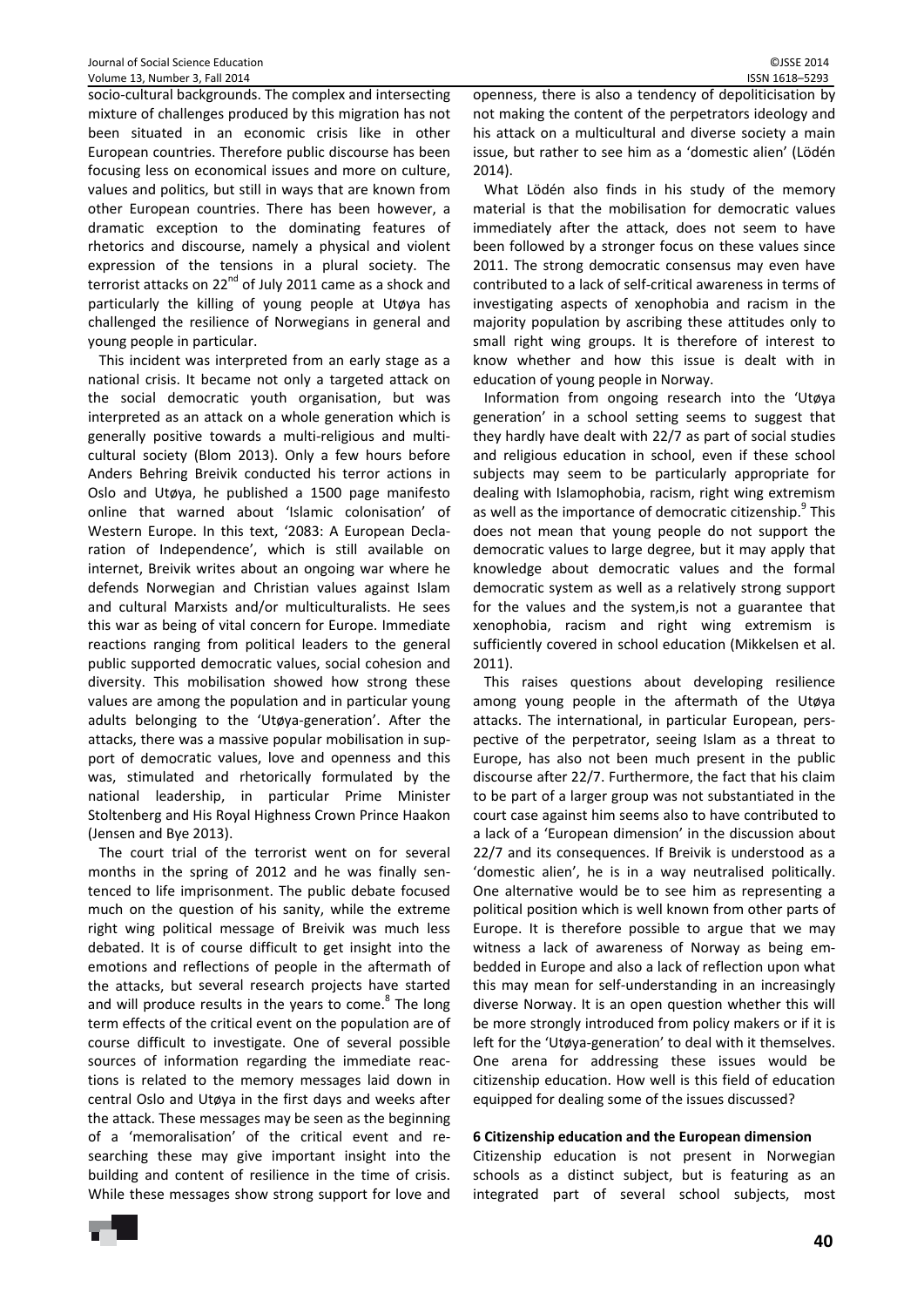socio-cultural backgrounds. The complex and intersecting mixture of challenges produced by this migration has not been situated in an economic crisis like in other European countries. Therefore public discourse has been focusing less on economical issues and more on culture, values and politics, but still in ways that are known from other European countries. There has been however, a dramatic exception to the dominating features of rhetorics and discourse, namely a physical and violent expression of the tensions in a plural society. The terrorist attacks on  $22^{nd}$  of July 2011 came as a shock and particularly the killing of young people at Utøya has challenged the resilience of Norwegians in general and young people in particular.

This incident was interpreted from an early stage as a national crisis. It became not only a targeted attack on the social democratic youth organisation, but was interpreted as an attack on a whole generation which is generally positive towards a multi‐religious and multi‐ cultural society (Blom 2013). Only a few hours before Anders Behring Breivik conducted his terror actions in Oslo and Utøya, he published a 1500 page manifesto online that warned about 'Islamic colonisation' of Western Europe. In this text, '2083: A European Decla‐ ration of Independence', which is still available on internet, Breivik writes about an ongoing war where he defends Norwegian and Christian values against Islam and cultural Marxists and/or multiculturalists. He sees this war as being of vital concern for Europe. Immediate reactions ranging from political leaders to the general public supported democratic values, social cohesion and diversity. This mobilisation showed how strong these values are among the population and in particular young adults belonging to the 'Utøya‐generation'. After the attacks, there was a massive popular mobilisation in sup‐ port of democratic values, love and openness and this was, stimulated and rhetorically formulated by the national leadership, in particular Prime Minister Stoltenberg and His Royal Highness Crown Prince Haakon (Jensen and Bye 2013).

The court trial of the terrorist went on for several months in the spring of 2012 and he was finally sentenced to life imprisonment. The public debate focused much on the question of his sanity, while the extreme right wing political message of Breivik was much less debated. It is of course difficult to get insight into the emotions and reflections of people in the aftermath of the attacks, but several research projects have started and will produce results in the years to come.<sup>8</sup> The long term effects of the critical event on the population are of course difficult to investigate. One of several possible sources of information regarding the immediate reactions is related to the memory messages laid down in central Oslo and Utøya in the first days and weeks after the attack. These messages may be seen as the beginning of a 'memoralisation' of the critical event and re‐ searching these may give important insight into the building and content of resilience in the time of crisis. While these messages show strong support for love and openness, there is also a tendency of depoliticisation by not making the content of the perpetrators ideology and his attack on a multicultural and diverse society a main issue, but rather to see him as a 'domestic alien' (Lödén 2014).

What Lödén also finds in his study of the memory material is that the mobilisation for democratic values immediately after the attack, does not seem to have been followed by a stronger focus on these values since 2011. The strong democratic consensus may even have contributed to a lack of self‐critical awareness in terms of investigating aspects of xenophobia and racism in the majority population by ascribing these attitudes only to small right wing groups. It is therefore of interest to know whether and how this issue is dealt with in education of young people in Norway.

Information from ongoing research into the 'Utøya generation' in a school setting seems to suggest that they hardly have dealt with 22/7 as part of social studies and religious education in school, even if these school subjects may seem to be particularly appropriate for dealing with Islamophobia, racism, right wing extremism as well as the importance of democratic citizenship.<sup>9</sup> This does not mean that young people do not support the democratic values to large degree, but it may apply that knowledge about democratic values and the formal democratic system as well as a relatively strong support for the values and the system,is not a guarantee that xenophobia, racism and right wing extremism is sufficiently covered in school education (Mikkelsen et al. 2011).

This raises questions about developing resilience among young people in the aftermath of the Utøya attacks. The international, in particular European, pers‐ pective of the perpetrator, seeing Islam as a threat to Europe, has also not been much present in the public discourse after 22/7. Furthermore, the fact that his claim to be part of a larger group was not substantiated in the court case against him seems also to have contributed to a lack of a 'European dimension' in the discussion about 22/7 and its consequences. If Breivik is understood as a 'domestic alien', he is in a way neutralised politically. One alternative would be to see him as representing a political position which is well known from other parts of Europe. It is therefore possible to argue that we may witness a lack of awareness of Norway as being embedded in Europe and also a lack of reflection upon what this may mean for self‐understanding in an increasingly diverse Norway. It is an open question whether this will be more strongly introduced from policy makers or if it is left for the 'Utøya‐generation' to deal with it themselves. One arena for addressing these issues would be citizenship education. How well is this field of education equipped for dealing some of the issues discussed?

# **6 Citizenship education and the European dimension**

Citizenship education is not present in Norwegian schools as a distinct subject, but is featuring as an integrated part of several school subjects, most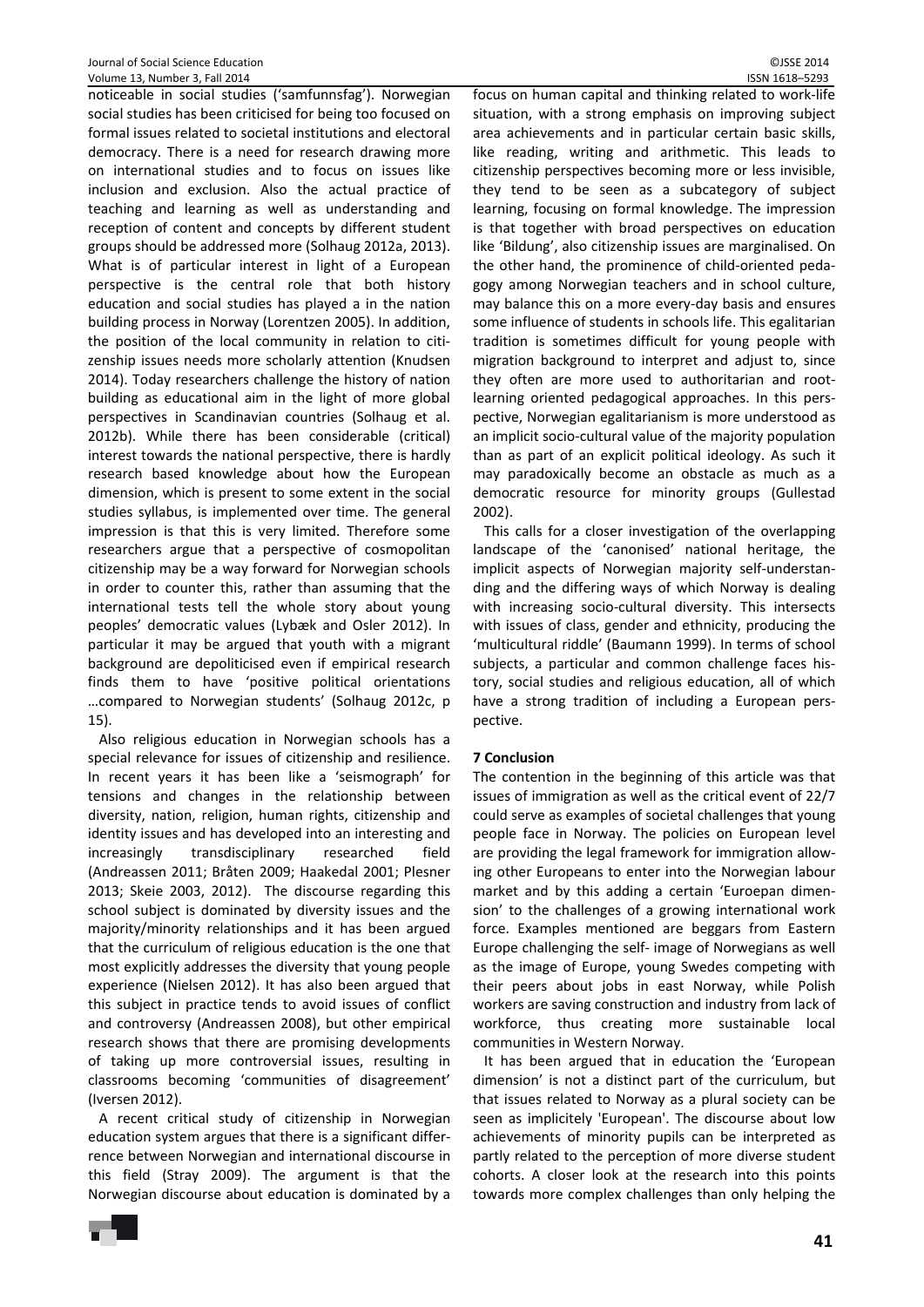noticeable in social studies ('samfunnsfag'). Norwegian social studies has been criticised for being too focused on formal issues related to societal institutions and electoral democracy. There is a need for research drawing more on international studies and to focus on issues like inclusion and exclusion. Also the actual practice of teaching and learning as well as understanding and reception of content and concepts by different student groups should be addressed more (Solhaug 2012a, 2013). What is of particular interest in light of a European perspective is the central role that both history education and social studies has played a in the nation building process in Norway (Lorentzen 2005). In addition, the position of the local community in relation to citi‐ zenship issues needs more scholarly attention (Knudsen 2014). Today researchers challenge the history of nation building as educational aim in the light of more global perspectives in Scandinavian countries (Solhaug et al. 2012b). While there has been considerable (critical) interest towards the national perspective, there is hardly research based knowledge about how the European dimension, which is present to some extent in the social studies syllabus, is implemented over time. The general impression is that this is very limited. Therefore some researchers argue that a perspective of cosmopolitan citizenship may be a way forward for Norwegian schools in order to counter this, rather than assuming that the international tests tell the whole story about young peoples' democratic values (Lybæk and Osler 2012). In particular it may be argued that youth with a migrant background are depoliticised even if empirical research finds them to have 'positive political orientations …compared to Norwegian students' (Solhaug 2012c, p 15).

Also religious education in Norwegian schools has a special relevance for issues of citizenship and resilience. In recent years it has been like a 'seismograph' for tensions and changes in the relationship between diversity, nation, religion, human rights, citizenship and identity issues and has developed into an interesting and increasingly transdisciplinary researched field (Andreassen 2011; Bråten 2009; Haakedal 2001; Plesner 2013; Skeie 2003, 2012). The discourse regarding this school subject is dominated by diversity issues and the majority/minority relationships and it has been argued that the curriculum of religious education is the one that most explicitly addresses the diversity that young people experience (Nielsen 2012). It has also been argued that this subject in practice tends to avoid issues of conflict and controversy (Andreassen 2008), but other empirical research shows that there are promising developments of taking up more controversial issues, resulting in classrooms becoming 'communities of disagreement' (Iversen 2012).

A recent critical study of citizenship in Norwegian education system argues that there is a significant differ‐ rence between Norwegian and international discourse in this field (Stray 2009). The argument is that the Norwegian discourse about education is dominated by a focus on human capital and thinking related to work‐life situation, with a strong emphasis on improving subject area achievements and in particular certain basic skills, like reading, writing and arithmetic. This leads to citizenship perspectives becoming more or less invisible, they tend to be seen as a subcategory of subject learning, focusing on formal knowledge. The impression is that together with broad perspectives on education like 'Bildung', also citizenship issues are marginalised. On the other hand, the prominence of child‐oriented peda‐ gogy among Norwegian teachers and in school culture, may balance this on a more every‐day basis and ensures some influence of students in schools life. This egalitarian tradition is sometimes difficult for young people with migration background to interpret and adjust to, since they often are more used to authoritarian and root‐ learning oriented pedagogical approaches. In this pers‐ pective, Norwegian egalitarianism is more understood as an implicit socio‐cultural value of the majority population than as part of an explicit political ideology. As such it may paradoxically become an obstacle as much as a democratic resource for minority groups (Gullestad 2002).

This calls for a closer investigation of the overlapping landscape of the 'canonised' national heritage, the implicit aspects of Norwegian majority self-understanding and the differing ways of which Norway is dealing with increasing socio-cultural diversity. This intersects with issues of class, gender and ethnicity, producing the 'multicultural riddle' (Baumann 1999). In terms of school subjects, a particular and common challenge faces history, social studies and religious education, all of which have a strong tradition of including a European perspective.

# **7 Conclusion**

The contention in the beginning of this article was that issues of immigration as well as the critical event of 22/7 could serve as examples of societal challenges that young people face in Norway. The policies on European level are providing the legal framework for immigration allow‐ ing other Europeans to enter into the Norwegian labour market and by this adding a certain 'Euroepan dimen‐ sion' to the challenges of a growing international work force. Examples mentioned are beggars from Eastern Europe challenging the self‐ image of Norwegians as well as the image of Europe, young Swedes competing with their peers about jobs in east Norway, while Polish workers are saving construction and industry from lack of workforce, thus creating more sustainable local communities in Western Norway.

It has been argued that in education the 'European dimension' is not a distinct part of the curriculum, but that issues related to Norway as a plural society can be seen as implicitely 'European'. The discourse about low achievements of minority pupils can be interpreted as partly related to the perception of more diverse student cohorts. A closer look at the research into this points towards more complex challenges than only helping the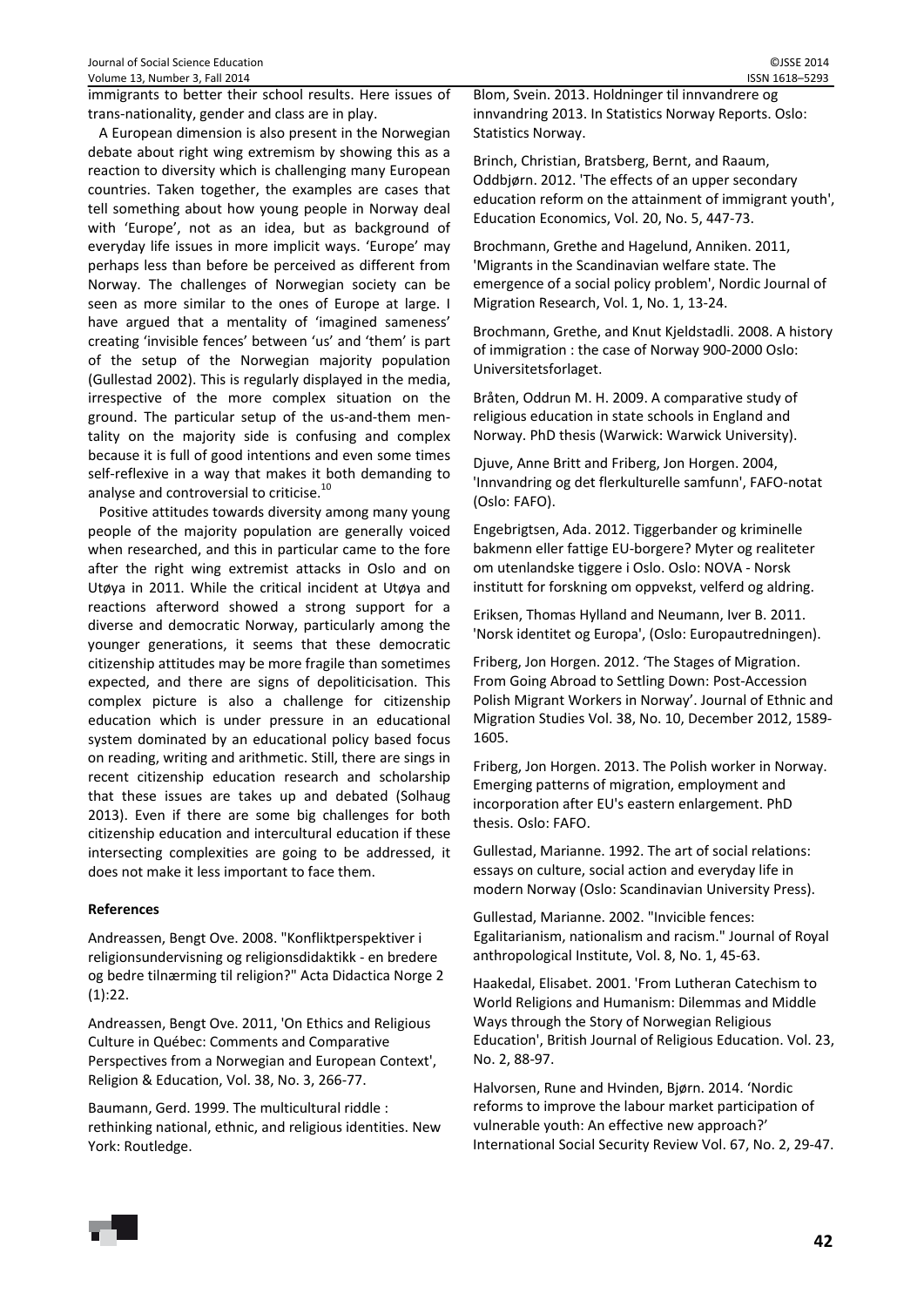A European dimension is also present in the Norwegian debate about right wing extremism by showing this as a reaction to diversity which is challenging many European countries. Taken together, the examples are cases that tell something about how young people in Norway deal with 'Europe', not as an idea, but as background of everyday life issues in more implicit ways. 'Europe' may perhaps less than before be perceived as different from Norway. The challenges of Norwegian society can be seen as more similar to the ones of Europe at large. I have argued that a mentality of 'imagined sameness' creating 'invisible fences' between 'us' and 'them' is part of the setup of the Norwegian majority population (Gullestad 2002). This is regularly displayed in the media, irrespective of the more complex situation on the ground. The particular setup of the us‐and‐them men‐ tality on the majority side is confusing and complex because it is full of good intentions and even some times self-reflexive in a way that makes it both demanding to analyse and controversial to criticise.<sup>10</sup>

Positive attitudes towards diversity among many young people of the majority population are generally voiced when researched, and this in particular came to the fore after the right wing extremist attacks in Oslo and on Utøya in 2011. While the critical incident at Utøya and reactions afterword showed a strong support for a diverse and democratic Norway, particularly among the younger generations, it seems that these democratic citizenship attitudes may be more fragile than sometimes expected, and there are signs of depoliticisation. This complex picture is also a challenge for citizenship education which is under pressure in an educational system dominated by an educational policy based focus on reading, writing and arithmetic. Still, there are sings in recent citizenship education research and scholarship that these issues are takes up and debated (Solhaug 2013). Even if there are some big challenges for both citizenship education and intercultural education if these intersecting complexities are going to be addressed, it does not make it less important to face them.

# **References**

Andreassen, Bengt Ove. 2008. "Konfliktperspektiver i religionsundervisning og religionsdidaktikk ‐ en bredere og bedre tilnærming til religion?" Acta Didactica Norge 2 (1):22.

Andreassen, Bengt Ove. 2011, 'On Ethics and Religious Culture in Québec: Comments and Comparative Perspectives from a Norwegian and European Context', Religion & Education, Vol. 38, No. 3, 266‐77.

Baumann, Gerd. 1999. The multicultural riddle : rethinking national, ethnic, and religious identities. New York: Routledge.

Blom, Svein. 2013. Holdninger til innvandrere og innvandring 2013. In Statistics Norway Reports. Oslo: Statistics Norway.

Brinch, Christian, Bratsberg, Bernt, and Raaum, Oddbjørn. 2012. 'The effects of an upper secondary education reform on the attainment of immigrant youth', Education Economics, Vol. 20, No. 5, 447‐73.

Brochmann, Grethe and Hagelund, Anniken. 2011, 'Migrants in the Scandinavian welfare state. The emergence of a social policy problem', Nordic Journal of Migration Research, Vol. 1, No. 1, 13‐24.

Brochmann, Grethe, and Knut Kjeldstadli. 2008. A history of immigration : the case of Norway 900‐2000 Oslo: Universitetsforlaget.

Bråten, Oddrun M. H. 2009. A comparative study of religious education in state schools in England and Norway. PhD thesis (Warwick: Warwick University).

Djuve, Anne Britt and Friberg, Jon Horgen. 2004, 'Innvandring og det flerkulturelle samfunn', FAFO‐notat (Oslo: FAFO).

Engebrigtsen, Ada. 2012. Tiggerbander og kriminelle bakmenn eller fattige EU‐borgere? Myter og realiteter om utenlandske tiggere i Oslo. Oslo: NOVA ‐ Norsk institutt for forskning om oppvekst, velferd og aldring.

Eriksen, Thomas Hylland and Neumann, Iver B. 2011. 'Norsk identitet og Europa', (Oslo: Europautredningen).

Friberg, Jon Horgen. 2012. 'The Stages of Migration. From Going Abroad to Settling Down: Post‐Accession Polish Migrant Workers in Norway'. Journal of Ethnic and Migration Studies Vol. 38, No. 10, December 2012, 1589‐ 1605.

Friberg, Jon Horgen. 2013. The Polish worker in Norway. Emerging patterns of migration, employment and incorporation after EU's eastern enlargement. PhD thesis. Oslo: FAFO.

Gullestad, Marianne. 1992. The art of social relations: essays on culture, social action and everyday life in modern Norway (Oslo: Scandinavian University Press).

Gullestad, Marianne. 2002. "Invicible fences: Egalitarianism, nationalism and racism." Journal of Royal anthropological Institute, Vol. 8, No. 1, 45‐63.

Haakedal, Elisabet. 2001. 'From Lutheran Catechism to World Religions and Humanism: Dilemmas and Middle Ways through the Story of Norwegian Religious Education', British Journal of Religious Education. Vol. 23, No. 2, 88‐97.

Halvorsen, Rune and Hvinden, Bjørn. 2014. 'Nordic reforms to improve the labour market participation of vulnerable youth: An effective new approach?' International Social Security Review Vol. 67, No. 2, 29‐47.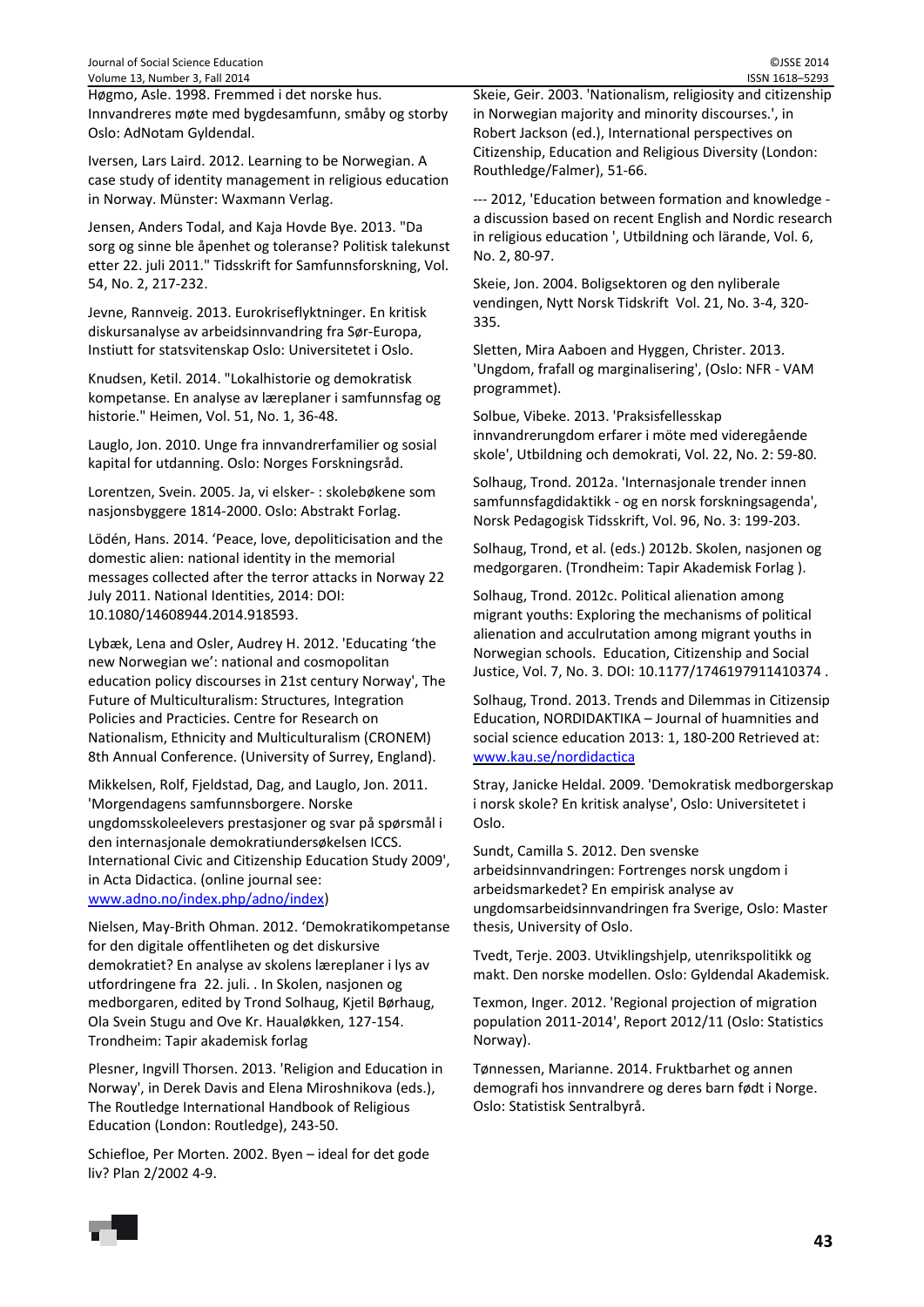Høgmo, Asle. 1998. Fremmed i det norske hus. Innvandreres møte med bygdesamfunn, småby og storby Oslo: AdNotam Gyldendal.

Iversen, Lars Laird. 2012. Learning to be Norwegian. A case study of identity management in religious education in Norway. Münster: Waxmann Verlag.

Jensen, Anders Todal, and Kaja Hovde Bye. 2013. "Da sorg og sinne ble åpenhet og toleranse? Politisk talekunst etter 22. juli 2011." Tidsskrift for Samfunnsforskning, Vol. 54, No. 2, 217‐232.

Jevne, Rannveig. 2013. Eurokriseflyktninger. En kritisk diskursanalyse av arbeidsinnvandring fra Sør‐Europa, Instiutt for statsvitenskap Oslo: Universitetet i Oslo.

Knudsen, Ketil. 2014. "Lokalhistorie og demokratisk kompetanse. En analyse av læreplaner i samfunnsfag og historie." Heimen, Vol. 51, No. 1, 36‐48.

Lauglo, Jon. 2010. Unge fra innvandrerfamilier og sosial kapital for utdanning. Oslo: Norges Forskningsråd.

Lorentzen, Svein. 2005. Ja, vi elsker‐ : skolebøkene som nasjonsbyggere 1814‐2000. Oslo: Abstrakt Forlag.

Lödén, Hans. 2014. 'Peace, love, depoliticisation and the domestic alien: national identity in the memorial messages collected after the terror attacks in Norway 22 July 2011. National Identities, 2014: DOI: 10.1080/14608944.2014.918593.

Lybæk, Lena and Osler, Audrey H. 2012. 'Educating 'the new Norwegian we': national and cosmopolitan education policy discourses in 21st century Norway', The Future of Multiculturalism: Structures, Integration Policies and Practicies. Centre for Research on Nationalism, Ethnicity and Multiculturalism (CRONEM) 8th Annual Conference. (University of Surrey, England).

Mikkelsen, Rolf, Fjeldstad, Dag, and Lauglo, Jon. 2011. 'Morgendagens samfunnsborgere. Norske ungdomsskoleelevers prestasjoner og svar på spørsmål i den internasjonale demokratiundersøkelsen ICCS. International Civic and Citizenship Education Study 2009', in Acta Didactica. (online journal see: www.adno.no/index.php/adno/index)

Nielsen, May‐Brith Ohman. 2012. 'Demokratikompetanse for den digitale offentliheten og det diskursive demokratiet? En analyse av skolens læreplaner i lys av utfordringene fra 22. juli. . In Skolen, nasjonen og medborgaren, edited by Trond Solhaug, Kjetil Børhaug, Ola Svein Stugu and Ove Kr. Haualøkken, 127‐154. Trondheim: Tapir akademisk forlag

Plesner, Ingvill Thorsen. 2013. 'Religion and Education in Norway', in Derek Davis and Elena Miroshnikova (eds.), The Routledge International Handbook of Religious Education (London: Routledge), 243‐50.

Schiefloe, Per Morten. 2002. Byen – ideal for det gode liv? Plan 2/2002 4‐9.

Skeie, Geir. 2003. 'Nationalism, religiosity and citizenship in Norwegian majority and minority discourses.', in Robert Jackson (ed.), International perspectives on Citizenship, Education and Religious Diversity (London: Routhledge/Falmer), 51‐66.

‐‐‐ 2012, 'Education between formation and knowledge ‐ a discussion based on recent English and Nordic research in religious education ', Utbildning och lärande, Vol. 6, No. 2, 80‐97.

Skeie, Jon. 2004. Boligsektoren og den nyliberale vendingen, Nytt Norsk Tidskrift Vol. 21, No. 3‐4, 320‐ 335.

Sletten, Mira Aaboen and Hyggen, Christer. 2013. 'Ungdom, frafall og marginalisering', (Oslo: NFR ‐ VAM programmet).

Solbue, Vibeke. 2013. 'Praksisfellesskap innvandrerungdom erfarer i möte med videregående skole', Utbildning och demokrati, Vol. 22, No. 2: 59‐80.

Solhaug, Trond. 2012a. 'Internasjonale trender innen samfunnsfagdidaktikk ‐ og en norsk forskningsagenda', Norsk Pedagogisk Tidsskrift, Vol. 96, No. 3: 199‐203.

Solhaug, Trond, et al. (eds.) 2012b. Skolen, nasjonen og medgorgaren. (Trondheim: Tapir Akademisk Forlag ).

Solhaug, Trond. 2012c. Political alienation among migrant youths: Exploring the mechanisms of political alienation and acculrutation among migrant youths in Norwegian schools. Education, Citizenship and Social Justice, Vol. 7, No. 3. DOI: 10.1177/1746197911410374 .

Solhaug, Trond. 2013. Trends and Dilemmas in Citizensip Education, NORDIDAKTIKA – Journal of huamnities and social science education 2013: 1, 180‐200 Retrieved at: www.kau.se/nordidactica

Stray, Janicke Heldal. 2009. 'Demokratisk medborgerskap i norsk skole? En kritisk analyse', Oslo: Universitetet i Oslo.

Sundt, Camilla S. 2012. Den svenske arbeidsinnvandringen: Fortrenges norsk ungdom i arbeidsmarkedet? En empirisk analyse av ungdomsarbeidsinnvandringen fra Sverige, Oslo: Master thesis, University of Oslo.

Tvedt, Terje. 2003. Utviklingshjelp, utenrikspolitikk og makt. Den norske modellen. Oslo: Gyldendal Akademisk.

Texmon, Inger. 2012. 'Regional projection of migration population 2011‐2014', Report 2012/11 (Oslo: Statistics Norway).

Tønnessen, Marianne. 2014. Fruktbarhet og annen demografi hos innvandrere og deres barn født i Norge. Oslo: Statistisk Sentralbyrå.